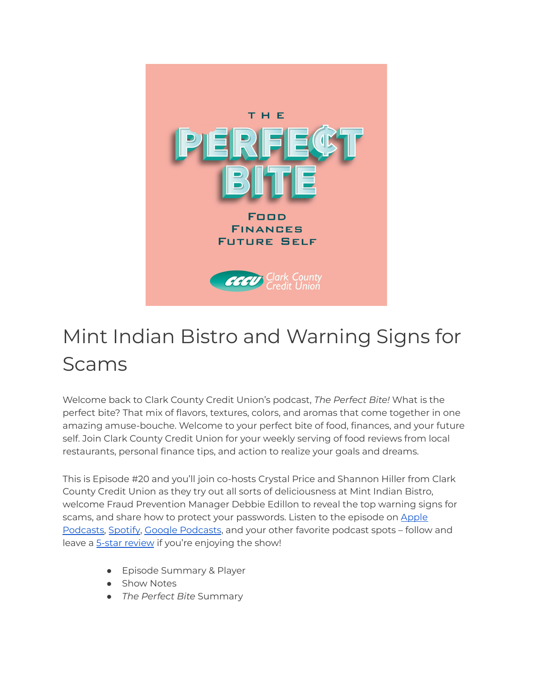

## Mint Indian Bistro and Warning Signs for Scams

Welcome back to Clark County Credit Union's podcast, *The Perfect Bite!* What is the perfect bite? That mix of flavors, textures, colors, and aromas that come together in one amazing amuse-bouche. Welcome to your perfect bite of food, finances, and your future self. Join Clark County Credit Union for your weekly serving of food reviews from local restaurants, personal finance tips, and action to realize your goals and dreams.

This is Episode #20 and you'll join co-hosts Crystal Price and Shannon Hiller from Clark County Credit Union as they try out all sorts of deliciousness at Mint Indian Bistro, welcome Fraud Prevention Manager Debbie Edillon to reveal the top warning signs for scams, and share how to protect your passwords. Listen to the episode on [Apple](https://podcasts.apple.com/us/podcast/the-perfect-bite/id1604656448) [Podcasts,](https://podcasts.apple.com/us/podcast/the-perfect-bite/id1604656448) [Spotify](https://open.spotify.com/show/7tNPJZBNHabGWEFmjnHaxR?si=a0a7808911264628), Google [Podcasts](https://podcasts.google.com/feed/aHR0cHM6Ly9wZXJmZWN0Yml0ZS5saWJzeW4uY29tL3Jzcw?sa=X&ved=0CAMQ4aUDahcKEwi47ZHlgPP1AhUAAAAAHQAAAAAQRA), and your other favorite podcast spots – follow and leave a 5-star [review](https://podcasts.apple.com/us/podcast/the-perfect-bite/id1604656448) if you're enjoying the show!

- Episode Summary & Player
- Show Notes
- *The Perfect Bite* Summary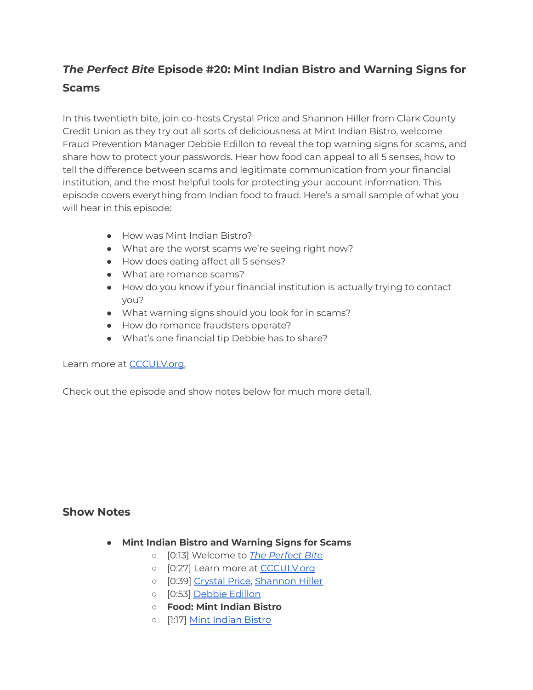## *The Perfect Bite* **Episode #20: Mint Indian Bistro and Warning Signs for Scams**

In this twentieth bite, join co-hosts Crystal Price and Shannon Hiller from Clark County Credit Union as they try out all sorts of deliciousness at Mint Indian Bistro, welcome Fraud Prevention Manager Debbie Edillon to reveal the top warning signs for scams, and share how to protect your passwords. Hear how food can appeal to all 5 senses, how to tell the difference between scams and legitimate communication from your financial institution, and the most helpful tools for protecting your account information. This episode covers everything from Indian food to fraud. Here's a small sample of what you will hear in this episode:

- How was Mint Indian Bistro?
- What are the worst scams we're seeing right now?
- How does eating affect all 5 senses?
- What are romance scams?
- How do you know if your financial institution is actually trying to contact you?
- What warning signs should you look for in scams?
- How do romance fraudsters operate?
- What's one financial tip Debbie has to share?

Learn more at **CCCULV.org**.

Check out the episode and show notes below for much more detail.

## **Show Notes**

- **Mint Indian Bistro and Warning Signs for Scams**
	- [0:13] Welcome to *[The Perfect Bite](https://www.ccculv.org/)*
	- [0:27] Learn more at [CCCULV.org](https://www.ccculv.org/)
	- [0:39] [Crystal Price](https://www.ccculv.org/Our-Mission.aspx), [Shannon Hiller](https://www.ccculv.org/Our-Mission.aspx)
	- [0:53] [Debbie Edillon](https://www.ccculv.org/ContentDocumentHandler.ashx?documentId=42051)
	- **○ Food: Mint Indian Bistro**
	- o [1:17] [Mint Indian Bistro](https://www.mintbistro.com/)